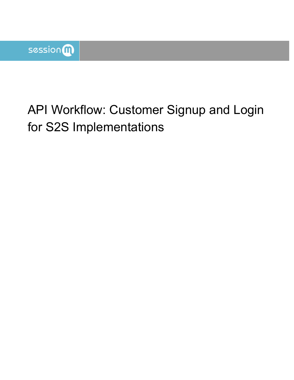# API Workflow: Customer Signup and Login for S2S Implementations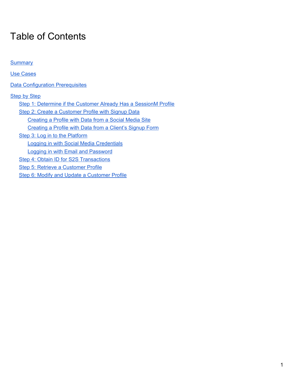## Table of Contents

| <b>Summary</b>                                                   |
|------------------------------------------------------------------|
| <b>Use Cases</b>                                                 |
| <b>Data Configuration Prerequisites</b>                          |
| <b>Step by Step</b>                                              |
| Step 1: Determine if the Customer Already Has a SessionM Profile |
| Step 2: Create a Customer Profile with Signup Data               |
| Creating a Profile with Data from a Social Media Site            |
| Creating a Profile with Data from a Client's Signup Form         |
| Step 3: Log in to the Platform                                   |
| Logging in with Social Media Credentials                         |
| <b>Logging in with Email and Password</b>                        |
| Step 4: Obtain ID for S2S Transactions                           |
| Step 5: Retrieve a Customer Profile                              |
| Step 6: Modify and Update a Customer Profile                     |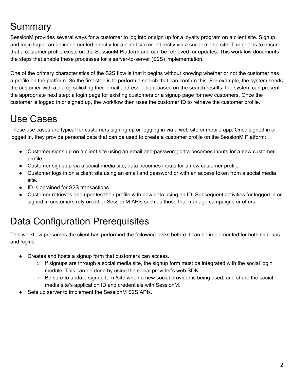## <span id="page-2-0"></span>**Summary**

SessionM provides several ways for a customer to log into or sign up for a loyalty program on a client site. Signup and login logic can be implemented directly for a client site or indirectly via a social media site. The goal is to ensure that a customer profile exists on the SessionM Platform and can be retrieved for updates. This workflow documents the steps that enable these processes for a server-to-server (S2S) implementation.

One of the primary characteristics of the S2S flow is that it begins without knowing whether or not the customer has a profile on the platform. So the first step is to perform a search that can confirm this. For example, the system sends the customer with a dialog soliciting their email address. Then, based on the search results, the system can present the appropriate next step: a login page for existing customers or a signup page for new customers. Once the customer is logged in or signed up, the workflow then uses the customer ID to retrieve the customer profile.

## <span id="page-2-1"></span>Use Cases

These use cases are typical for customers signing up or logging in via a web site or mobile app. Once signed in or logged in, they provide personal data that can be used to create a customer profile on the SessionM Platform:

- Customer signs up on a client site using an email and password; data becomes inputs for a new customer profile.
- Customer signs up via a social media site; data becomes inputs for a new customer profile.
- Customer logs in on a client site using an email and password or with an access token from a social media site.
- ID is obtained for S2S transactions.
- Customer retrieves and updates their profile with new data using an ID. Subsequent activities for logged in or signed in customers rely on other SessionM APIs such as those that manage campaigns or offers.

## <span id="page-2-2"></span>Data Configuration Prerequisites

This workflow presumes the client has performed the following tasks before it can be implemented for both sign-ups and logins:

- Creates and hosts a signup form that customers can access.
	- $\circ$  If signups are through a social media site, the signup form must be integrated with the social login module. This can be done by using the social provider's web SDK.
	- Be sure to update signup form/site when a new social provider is being used, and share the social media site's application ID and credentials with SessionM.
- Sets up server to implement the SessionM S2S APIs.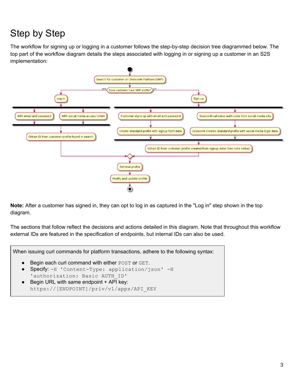## <span id="page-3-0"></span>Step by Step

The workflow for signing up or logging in a customer follows the step-by-step decision tree diagrammed below. The top part of the workflow diagram details the steps associated with logging in or signing up a customer in an S2S implementation:



**Note:** After a customer has signed in, they can opt to log in as captured in the "Log in" step shown in the top diagram.

The sections that follow reflect the decisions and actions detailed in this diagram. Note that throughout this workflow external IDs are featured in the specification of endpoints, but internal IDs can also be used.

When issuing curl commands for platform transactions, adhere to the following syntax:

- Begin each curl command with either POST or GET.
- Specify: -H 'Content-Type: application/json' -H 'authorization: Basic AUTH\_ID'
- <span id="page-3-1"></span>● Begin URL with same endpoint + API key: https://[ENDPOINT]/priv/v1/apps/API\_KEY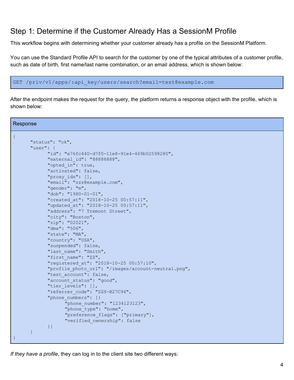### <span id="page-4-0"></span>Step 1: Determine if the Customer Already Has a SessionM Profile

This workflow begins with determining whether your customer already has a profile on the SessionM Platform.

You can use the Standard Profile API to search for the customer by one of the typical attributes of a customer profile, such as date of birth, first name/last name combination, or an email address, which is shown below:

```
GET /priv/v1/apps/:api_key/users/search?email=test@example.com
```
After the endpoint makes the request for the query, the platform returns a response object with the profile, which is shown below:

```
Response
{
      "status": "ok",
      "user": {
            "id": "e76fc440-d7f0-11e8-91e4-469b02598280",
            "external_id": "88888888",
            "opted_in": true,
            "activated": false,
            "proxy_ids": [],
            "email": "zzz@example.com",
            "gender": "m",
            "dob": "1980-01-01",
            "created_at": "2018-10-25 00:57:11",
            "updated_at": "2018-10-25 00:57:11",
            "address": "7 Tremont Street",
            "city": "Boston",
            "zip": "02021",
            "dma": "506",
            "state": "MA",
            "country": "USA",
            "suspended": false,
            "last name": "Smith",
            "first_name": "ZZ",
            "registered_at": "2018-10-25 00:57:10",
            "profile photo url": "/images/account-neutral.png",
            "test account": false,
            "account status": "good",
            "tier levels": [],
            "referrer_code": "ZZS-B27C94",
            "phone numbers": [{
                   "phone_number": "1234123123",
                   "phone type": "home",
                   "preference_flags": ["primary"],
                   "verified_ownership": false
            }]
      }
}
```
*If they have a profile*, they can log in to the client site two different ways: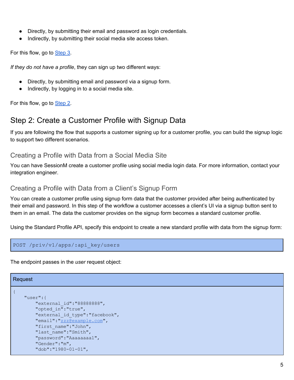- Directly, by submitting their email and password as login credentials.
- Indirectly, by submitting their social media site access token.

For this flow, go to [Step](#page-7-0) 3.

*If they do not have a profile*, they can sign up two different ways:

- Directly, by submitting email and password via a signup form.
- Indirectly, by logging in to a social media site.

<span id="page-5-0"></span>For this flow, go to [Step](#page-5-0) 2.

### Step 2: Create a Customer Profile with Signup Data

If you are following the flow that supports a customer signing up for a customer profile, you can build the signup logic to support two different scenarios.

#### <span id="page-5-1"></span>Creating a Profile with Data from a Social Media Site

You can have SessionM create a customer profile using social media login data. For more information, contact your integration engineer.

#### <span id="page-5-2"></span>Creating a Profile with Data from a Client's Signup Form

You can create a customer profile using signup form data that the customer provided after being authenticated by their email and password. In this step of the workflow a customer accesses a client's UI via a signup button sent to them in an email. The data the customer provides on the signup form becomes a standard customer profile.

Using the Standard Profile API, specify this endpoint to create a new standard profile with data from the signup form:

```
POST /priv/v1/apps/:api_key/users
```
The endpoint passes in the *user* request object:

#### Request

```
{
    "user":{
        "external_id":"88888888",
        "opted_in":"true",
        "external_id_type":"facebook",
        "email":"zzz@example.com",
        "first_name":"John",
        "last name":"Smith",
        "password":"Aaaaaaaa1",
        "Gender":"m",
        "dob":"1980-01-01",
```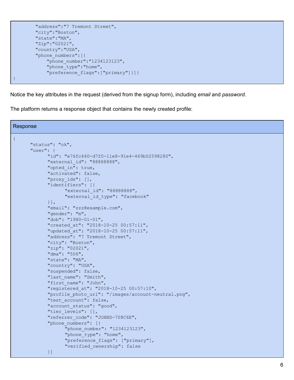```
"address":"7 Tremont Street",
        "city":"Boston",
        "state":"MA",
        "Zip":"02021",
        "country":"USA",
        "phone_numbers":[{
            "phone_number":"1234123123",
            "phone type": "home",
            "preference_flags":["primary"]}]}
}
```
Notice the key attributes in the request (derived from the signup form), including *email* and *password*.

The platform returns a response object that contains the newly created profile:

```
Response
{
      "status": "ok",
      "user": {
            "id": "e76fc440-d7f0-11e8-91e4-469b02598280",
            "external_id": "88888888",
            "opted_in": true,
            "activated": false,
            "proxy_ids": [],
            "identifiers": [{
                   "external_id": "88888888",
                   "external id type": "facebook"
            }],
            "email": "zzz@example.com",
            "gender": "m",
            "dob": "1980-01-01",
            "created_at": "2018-10-25 00:57:11",
            "updated_at": "2018-10-25 00:57:11",
            "address": "7 Tremont Street",
            "city": "Boston",
            "zip": "02021",
            "dma": "506",
            "state": "MA",
            "country": "USA",
            "suspended": false,
            "last name": "Smith",
            "first name": "John",
            "registered_at": "2018-10-25 00:57:10",
            "profile photo url": "/images/account-neutral.png",
            "test account": false,
            "account status": "good",
            "tier levels": [],
            "referrer code": "JOHNS-708C6E",
            "phone numbers": [{
                   "phone number": "1234123123",
                   "phone type": "home",
                   "preference_flags": ["primary"],
                   "verified_ownership": false
            }]
```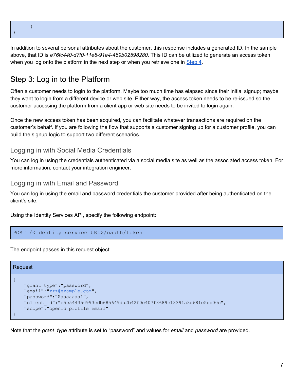| 1<br>r |  |  |
|--------|--|--|

}

In addition to several personal attributes about the customer, this response includes a generated ID. In the sample above, that ID is *e76fc440-d7f0-11e8-91e4-469b02598280*. This ID can be utilized to generate an access token when you log onto the platform in the next step or when you retrieve one in [Step](#page-8-0) 4.

## <span id="page-7-0"></span>Step 3: Log in to the Platform

Often a customer needs to login to the platform. Maybe too much time has elapsed since their initial signup; maybe they want to login from a different device or web site. Either way, the access token needs to be re-issued so the customer accessing the platform from a client app or web site needs to be invited to login again.

Once the new access token has been acquired, you can facilitate whatever transactions are required on the customer's behalf. If you are following the flow that supports a customer signing up for a customer profile, you can build the signup logic to support two different scenarios.

#### <span id="page-7-1"></span>Logging in with Social Media Credentials

You can log in using the credentials authenticated via a social media site as well as the associated access token. For more information, contact your integration engineer.

<span id="page-7-2"></span>Logging in with Email and Password

You can log in using the email and password credentials the customer provided after being authenticated on the client's site.

Using the Identity Services API, specify the following endpoint:

```
POST /<identity service URL>/oauth/token
```
The endpoint passes in this request object:

### Request

```
{
    "grant type": "password",
    "email":"zzz@example.com",
    "password":"Aaaaaaaa1",
    "client_id":"c5c544350993cdb685649da2b42f0e407f8689c13391a3d681e5bb00e",
    "scope":"openid profile email"
}
```
Note that the *grant\_type* attribute is set to "password" and values for *email* and *password* are provided.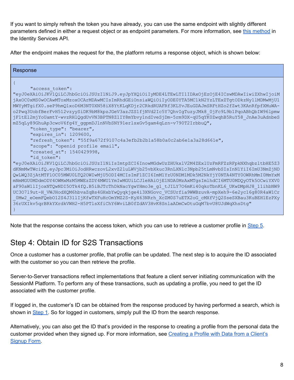If you want to simply refresh the token you have already, you can use the same endpoint with slightly different parameters defined in either a request object or as endpoint parameters. For more information, see this [method](https://docs.sessionm.com/server2server/#refresh-an-access-token-for-an-authorized-customer) in the Identity Services API.

After the endpoint makes the request for the, the platform returns a response object, which is shown below:

| Response                                                                                                                                                                                                                                                                                                                                                                                                                                                                                                                                                                                                                                                                                                                                                                                                  |
|-----------------------------------------------------------------------------------------------------------------------------------------------------------------------------------------------------------------------------------------------------------------------------------------------------------------------------------------------------------------------------------------------------------------------------------------------------------------------------------------------------------------------------------------------------------------------------------------------------------------------------------------------------------------------------------------------------------------------------------------------------------------------------------------------------------|
| "access token":<br>"eyJ0eXAiOiJKV1QiLCJhbGciOiJSUzI1NiJ9.eyJpYXQiOiIyMDE4LTEwLTI1IDAxOjEzOjE4ICswMDAwIiwiZXhwIjoiM<br>jAxOC0xMS0wOCAwMToxMzoxOCArMDAwMCIsImRhdGEiOnsiaWQiOiIyODE0YTA5MC1kN2YzLTExZTgtODkzNy1lMDMwMjU1<br>MWYyMTgifX0.seP9hmQ1xoD6M3NT0XN58iX8YtKLqKDjr2CRkdRUAFRf3KLYvJEuGDAJmSRFtHZo2fZwt3KAnRfpfXMuWA-<br>o2Pwq3UobfBerFvH512vzyySiDK9bM8kpzJGeV3azJZS1fjNVd2Ic5Y7QhvIgTuzyJMk8 0jFc9L9b1PqoABhQbIW961pmw<br>jF1tE12mjYoUamtY-wvzRHlQgdUvVN3BPTN8Z1IY8mYbvy1ndIveSjDm-5rm9DX-qU5qYK0ZwqhB5RuY58 JnAe3uAdnbeS<br>mZ5qLy89GhuAp3cwoV6fg4Y ggpmDJlnNVbSNY91erlsxGv5gam4qLzn-v790T2IrbbuQ",<br>"token type": "bearer",<br>"expires in": 1209600,                                                                                                                                            |
| "refresh token": "55f9a672f9107c4a3efb2b2b1a58b0a0c2ab6e1a3a28d661e",<br>"scope": "openid profile email",<br>"created at": 1540429998,<br>"id token":                                                                                                                                                                                                                                                                                                                                                                                                                                                                                                                                                                                                                                                     |
| "eyJ0eXAiOiJKV1QiLCJhbGciOiJSUzI1NiIsImtpZCI6InowMGdwUzZHUkx1V2M4ZEx1UzFmRFZzRFpkNXhqbz1tbHE5Z3<br>dKNmMwTWcifQ.eyJpc3MiOiJodHRwczovL2xvZ2luLWVjb25vbXkuc3RnLXNlc3Npb25tLmNvbSIsInN1YiI6ImU3NmZjND<br>QwLWQ3ZjAtMTF1OC05MWU0LTQ2OWIwMjU5ODI4MCIsImF1ZCI6ImM1YzU0NDM1MDk5M2NkYjY0NTA4NTY0OWRhMmI0MmYxM<br>mNmMGU0MDdmODY4OWMxMzM5MWEzZDY4MWU1YmIwMGUiLCJleHAiOjE1NDA0MzAxMTgsImlhdCI6MTU0MDQyOTk5OCwiYXV0<br>aF90aW1lIjoxNTQwNDI5OTk4fQ.B5iBJTcThDkNacYgwYHmo3e g1 tJILY7O6mKi40qkoTbnKL6 UKwDMpHJ8 11ihbNW9<br>UC30719ut-H VWJHodXQM6hbvaZqBs4GHxbYwQyqkjge4i3XNGovc VCSUrfia9WWBzuvA-mpXeh9-6e2yc16g80R4aW1Cr<br>0Mw2 eOemFQebO12S4J31lIjKfwTXFuHcOmYMZ2S-KyX63NRrh XcZM0S7uETX2oG cMXfVjQ2SseSXBau3KuBEH1EzPXy<br>36rUXIkv5qrBRkYXrdkVWH2-H5PTlsXfiChY6WviLB0fZdAV3HvK8SnlaADmCwDtuGqM7bvU8UJdWqXhsDtg" |

<span id="page-8-0"></span>Note that the response contains the access token, which you can use to retrieve a customer profile in Step 5.

## Step 4: Obtain ID for S2S Transactions

Once a customer has a customer profile, that profile can be updated. The next step is to acquire the ID associated with the customer so you can then retrieve the profile.

Server-to-Server transactions reflect implementations that feature a client server initiating communication with the SessionM Platform. To perform any of these transactions, such as updating a profile, you need to get the ID associated with the customer profile.

If logged in, the customer's ID can be obtained from the response produced by having performed a search, which is shown in [Step](#page-3-1) 1. So for logged in customers, simply pull the ID from the search response.

Alternatively, you can also get the ID that's provided in the response to creating a profile from the personal data the customer provided when they signed up. For more information, see [Creating](#page-5-2) a Profile with Data from a Client's [Signup](#page-5-2) Form.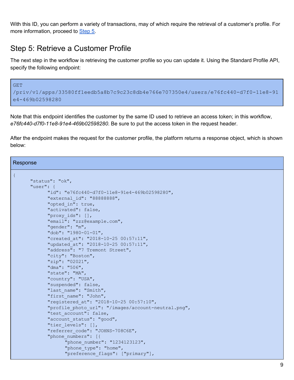With this ID, you can perform a variety of transactions, may of which require the retrieval of a customer's profile. For more information, proceed to [Step](#page-9-0) 5.

### <span id="page-9-0"></span>Step 5: Retrieve a Customer Profile

The next step in the workflow is retrieving the customer profile so you can update it. Using the Standard Profile API, specify the following endpoint:

```
GET
/priv/v1/apps/33580ff1eedb5a8b7c9c23c8db4e766e707350e4/users/e76fc440-d7f0-11e8-91
e4-469b02598280
```
Note that this endpoint identifies the customer by the same ID used to retrieve an access token; in this workflow, *e76fc440-d7f0-11e8-91e4-469b02598280*. Be sure to put the access token in the request header.

After the endpoint makes the request for the customer profile, the platform returns a response object, which is shown below:

Response

{

```
"status": "ok",
"user": {
      "id": "e76fc440-d7f0-11e8-91e4-469b02598280",
      "external_id": "88888888",
      "opted_in": true,
      "activated": false,
      "proxy_ids": [],
      "email": "zzz@example.com",
      "gender": "m",
      "dob": "1980-01-01",
      "created_at": "2018-10-25 00:57:11",
      "updated_at": "2018-10-25 00:57:11",
      "address": "7 Tremont Street",
      "city": "Boston",
      "zip": "02021",
      "dma": "506",
      "state": "MA",
      "country": "USA",
      "suspended": false,
      "last name": "Smith",
      "first name": "John",
      "registered_at": "2018-10-25 00:57:10",
      "profile photo url": "/images/account-neutral.png",
      "test account": false,
      "account status": "good",
      "tier levels": [],
      "referrer_code": "JOHNS-708C6E",
      "phone numbers": [{
            "phone number": "1234123123",
            "phone type": "home",
            "preference_flags": ["primary"],
```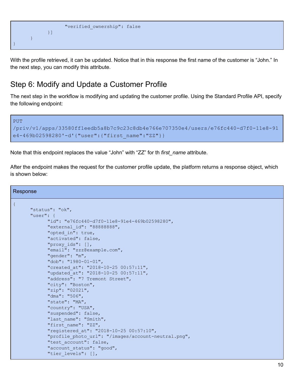

With the profile retrieved, it can be updated. Notice that in this response the first name of the customer is "John." In the next step, you can modify this attribute.

### <span id="page-10-0"></span>Step 6: Modify and Update a Customer Profile

The next step in the workflow is modifying and updating the customer profile. Using the Standard Profile API, specify the following endpoint:

```
PUT
/priv/v1/apps/33580ff1eedb5a8b7c9c23c8db4e766e707350e4/users/e76fc440-d7f0-11e8-91
e4-469b02598280'-d'{"user":{"first_name":"ZZ"}}
```
Note that this endpoint replaces the value "John" with "ZZ" for th *first\_name* attribute.

After the endpoint makes the request for the customer profile update, the platform returns a response object, which is shown below:

| Response                                            |
|-----------------------------------------------------|
|                                                     |
| "status": "ok",                                     |
| "user": $\{$                                        |
| "id": "e76fc440-d7f0-11e8-91e4-469b02598280",       |
| "external id": "88888888",                          |
| "opted in": true,                                   |
| "activated": false,                                 |
| "proxy ids": [],                                    |
| "email": "zzz@example.com",                         |
| "gender": "m",                                      |
| "dob": "1980-01-01",                                |
| "created at": "2018-10-25 00:57:11",                |
| "updated at": "2018-10-25 00:57:11",                |
| "address": "7 Tremont Street",                      |
| "city": "Boston",                                   |
| "zip": "02021",                                     |
| " $dma$ ": " $506"$ ,                               |
| "state": "MA",                                      |
| "country": "USA",                                   |
| "suspended": false,                                 |
| "last name": "Smith",<br>"first name": "ZZ",        |
| "registered at": "2018-10-25 00:57:10",             |
| "profile photo url": "/images/account-neutral.png", |
| "test account": false,                              |
| "account status": "good",                           |
| "tier levels": [],                                  |
|                                                     |